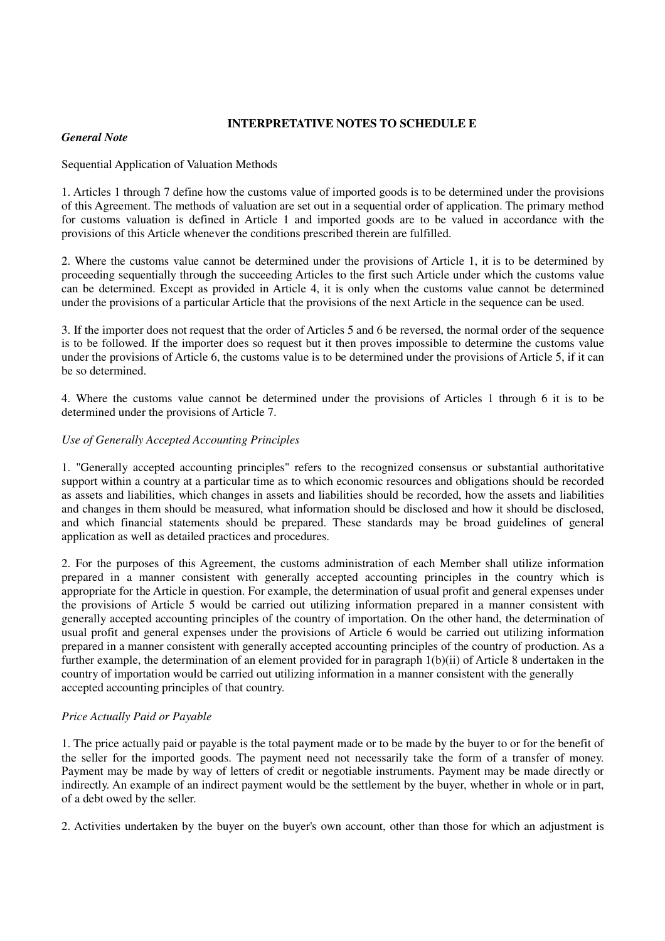# **INTERPRETATIVE NOTES TO SCHEDULE E**

### *General Note*

### Sequential Application of Valuation Methods

1. Articles 1 through 7 define how the customs value of imported goods is to be determined under the provisions of this Agreement. The methods of valuation are set out in a sequential order of application. The primary method for customs valuation is defined in Article 1 and imported goods are to be valued in accordance with the provisions of this Article whenever the conditions prescribed therein are fulfilled.

2. Where the customs value cannot be determined under the provisions of Article 1, it is to be determined by proceeding sequentially through the succeeding Articles to the first such Article under which the customs value can be determined. Except as provided in Article 4, it is only when the customs value cannot be determined under the provisions of a particular Article that the provisions of the next Article in the sequence can be used.

3. If the importer does not request that the order of Articles 5 and 6 be reversed, the normal order of the sequence is to be followed. If the importer does so request but it then proves impossible to determine the customs value under the provisions of Article 6, the customs value is to be determined under the provisions of Article 5, if it can be so determined.

4. Where the customs value cannot be determined under the provisions of Articles 1 through 6 it is to be determined under the provisions of Article 7.

### *Use of Generally Accepted Accounting Principles*

1. "Generally accepted accounting principles" refers to the recognized consensus or substantial authoritative support within a country at a particular time as to which economic resources and obligations should be recorded as assets and liabilities, which changes in assets and liabilities should be recorded, how the assets and liabilities and changes in them should be measured, what information should be disclosed and how it should be disclosed, and which financial statements should be prepared. These standards may be broad guidelines of general application as well as detailed practices and procedures.

2. For the purposes of this Agreement, the customs administration of each Member shall utilize information prepared in a manner consistent with generally accepted accounting principles in the country which is appropriate for the Article in question. For example, the determination of usual profit and general expenses under the provisions of Article 5 would be carried out utilizing information prepared in a manner consistent with generally accepted accounting principles of the country of importation. On the other hand, the determination of usual profit and general expenses under the provisions of Article 6 would be carried out utilizing information prepared in a manner consistent with generally accepted accounting principles of the country of production. As a further example, the determination of an element provided for in paragraph 1(b)(ii) of Article 8 undertaken in the country of importation would be carried out utilizing information in a manner consistent with the generally accepted accounting principles of that country.

#### *Price Actually Paid or Payable*

1. The price actually paid or payable is the total payment made or to be made by the buyer to or for the benefit of the seller for the imported goods. The payment need not necessarily take the form of a transfer of money. Payment may be made by way of letters of credit or negotiable instruments. Payment may be made directly or indirectly. An example of an indirect payment would be the settlement by the buyer, whether in whole or in part, of a debt owed by the seller.

2. Activities undertaken by the buyer on the buyer's own account, other than those for which an adjustment is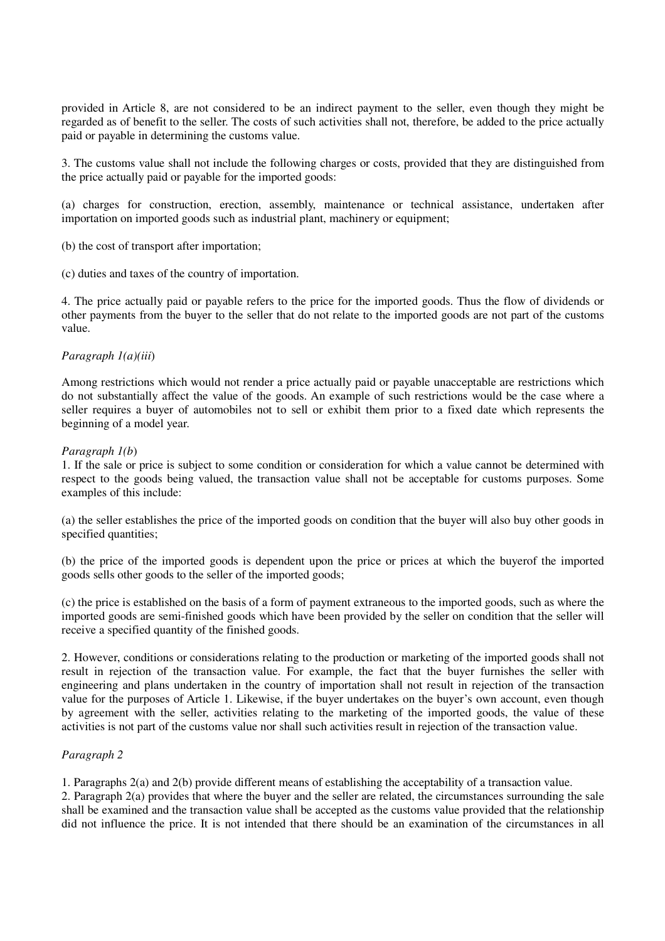provided in Article 8, are not considered to be an indirect payment to the seller, even though they might be regarded as of benefit to the seller. The costs of such activities shall not, therefore, be added to the price actually paid or payable in determining the customs value.

3. The customs value shall not include the following charges or costs, provided that they are distinguished from the price actually paid or payable for the imported goods:

(a) charges for construction, erection, assembly, maintenance or technical assistance, undertaken after importation on imported goods such as industrial plant, machinery or equipment;

(b) the cost of transport after importation;

(c) duties and taxes of the country of importation.

4. The price actually paid or payable refers to the price for the imported goods. Thus the flow of dividends or other payments from the buyer to the seller that do not relate to the imported goods are not part of the customs value.

### *Paragraph 1(a)(iii*)

Among restrictions which would not render a price actually paid or payable unacceptable are restrictions which do not substantially affect the value of the goods. An example of such restrictions would be the case where a seller requires a buyer of automobiles not to sell or exhibit them prior to a fixed date which represents the beginning of a model year.

### *Paragraph 1(b*)

1. If the sale or price is subject to some condition or consideration for which a value cannot be determined with respect to the goods being valued, the transaction value shall not be acceptable for customs purposes. Some examples of this include:

(a) the seller establishes the price of the imported goods on condition that the buyer will also buy other goods in specified quantities:

(b) the price of the imported goods is dependent upon the price or prices at which the buyerof the imported goods sells other goods to the seller of the imported goods;

(c) the price is established on the basis of a form of payment extraneous to the imported goods, such as where the imported goods are semi-finished goods which have been provided by the seller on condition that the seller will receive a specified quantity of the finished goods.

2. However, conditions or considerations relating to the production or marketing of the imported goods shall not result in rejection of the transaction value. For example, the fact that the buyer furnishes the seller with engineering and plans undertaken in the country of importation shall not result in rejection of the transaction value for the purposes of Article 1. Likewise, if the buyer undertakes on the buyer's own account, even though by agreement with the seller, activities relating to the marketing of the imported goods, the value of these activities is not part of the customs value nor shall such activities result in rejection of the transaction value.

# *Paragraph 2*

1. Paragraphs 2(a) and 2(b) provide different means of establishing the acceptability of a transaction value.

2. Paragraph 2(a) provides that where the buyer and the seller are related, the circumstances surrounding the sale shall be examined and the transaction value shall be accepted as the customs value provided that the relationship did not influence the price. It is not intended that there should be an examination of the circumstances in all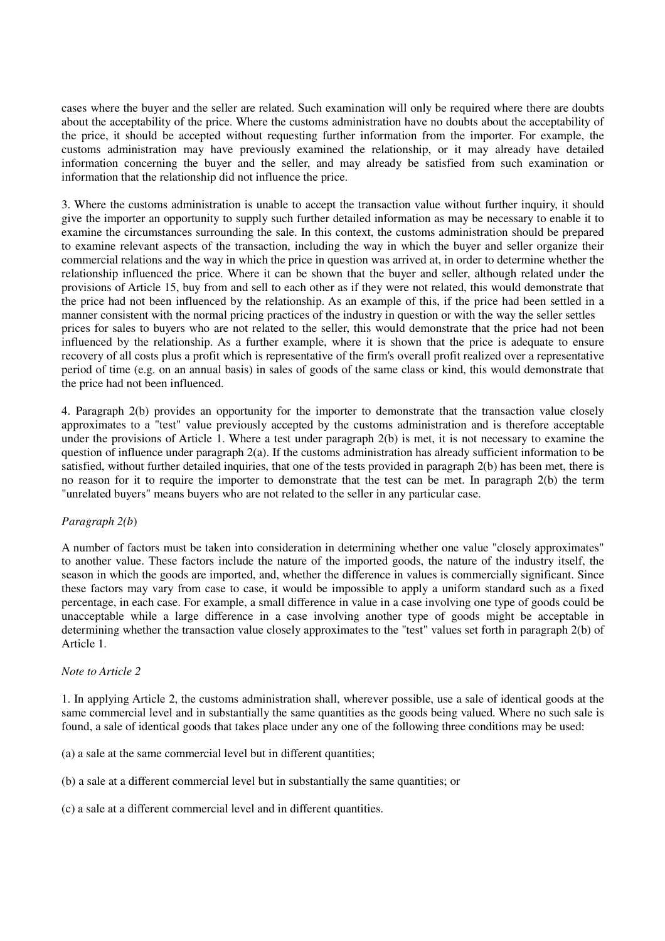cases where the buyer and the seller are related. Such examination will only be required where there are doubts about the acceptability of the price. Where the customs administration have no doubts about the acceptability of the price, it should be accepted without requesting further information from the importer. For example, the customs administration may have previously examined the relationship, or it may already have detailed information concerning the buyer and the seller, and may already be satisfied from such examination or information that the relationship did not influence the price.

3. Where the customs administration is unable to accept the transaction value without further inquiry, it should give the importer an opportunity to supply such further detailed information as may be necessary to enable it to examine the circumstances surrounding the sale. In this context, the customs administration should be prepared to examine relevant aspects of the transaction, including the way in which the buyer and seller organize their commercial relations and the way in which the price in question was arrived at, in order to determine whether the relationship influenced the price. Where it can be shown that the buyer and seller, although related under the provisions of Article 15, buy from and sell to each other as if they were not related, this would demonstrate that the price had not been influenced by the relationship. As an example of this, if the price had been settled in a manner consistent with the normal pricing practices of the industry in question or with the way the seller settles prices for sales to buyers who are not related to the seller, this would demonstrate that the price had not been influenced by the relationship. As a further example, where it is shown that the price is adequate to ensure recovery of all costs plus a profit which is representative of the firm's overall profit realized over a representative period of time (e.g. on an annual basis) in sales of goods of the same class or kind, this would demonstrate that the price had not been influenced.

4. Paragraph 2(b) provides an opportunity for the importer to demonstrate that the transaction value closely approximates to a "test" value previously accepted by the customs administration and is therefore acceptable under the provisions of Article 1. Where a test under paragraph 2(b) is met, it is not necessary to examine the question of influence under paragraph 2(a). If the customs administration has already sufficient information to be satisfied, without further detailed inquiries, that one of the tests provided in paragraph 2(b) has been met, there is no reason for it to require the importer to demonstrate that the test can be met. In paragraph 2(b) the term "unrelated buyers" means buyers who are not related to the seller in any particular case.

# *Paragraph 2(b*)

A number of factors must be taken into consideration in determining whether one value "closely approximates" to another value. These factors include the nature of the imported goods, the nature of the industry itself, the season in which the goods are imported, and, whether the difference in values is commercially significant. Since these factors may vary from case to case, it would be impossible to apply a uniform standard such as a fixed percentage, in each case. For example, a small difference in value in a case involving one type of goods could be unacceptable while a large difference in a case involving another type of goods might be acceptable in determining whether the transaction value closely approximates to the "test" values set forth in paragraph 2(b) of Article 1.

#### *Note to Article 2*

1. In applying Article 2, the customs administration shall, wherever possible, use a sale of identical goods at the same commercial level and in substantially the same quantities as the goods being valued. Where no such sale is found, a sale of identical goods that takes place under any one of the following three conditions may be used:

- (a) a sale at the same commercial level but in different quantities;
- (b) a sale at a different commercial level but in substantially the same quantities; or
- (c) a sale at a different commercial level and in different quantities.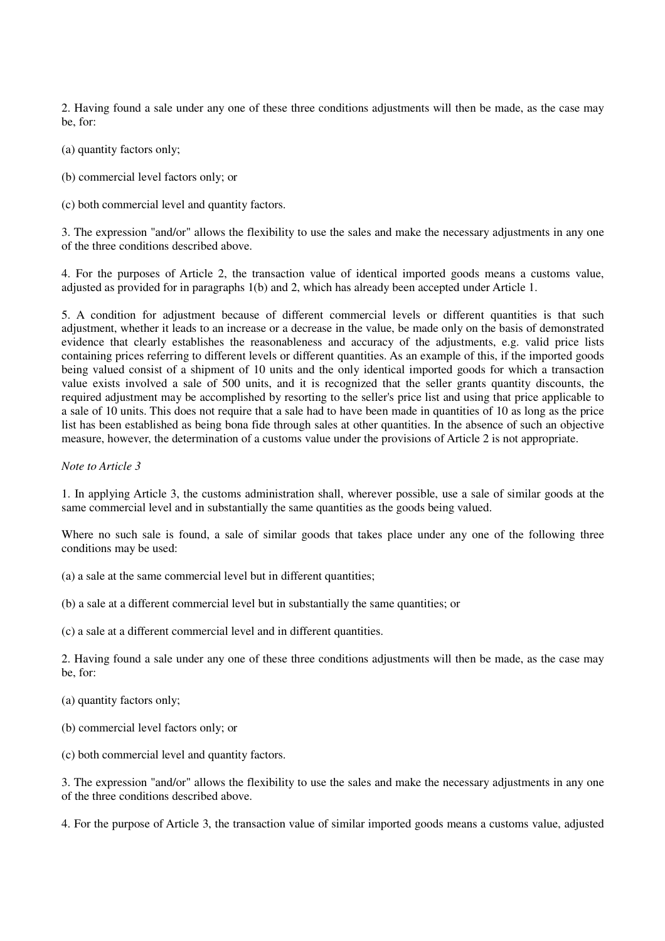2. Having found a sale under any one of these three conditions adjustments will then be made, as the case may be, for:

(a) quantity factors only;

(b) commercial level factors only; or

(c) both commercial level and quantity factors.

3. The expression "and/or" allows the flexibility to use the sales and make the necessary adjustments in any one of the three conditions described above.

4. For the purposes of Article 2, the transaction value of identical imported goods means a customs value, adjusted as provided for in paragraphs 1(b) and 2, which has already been accepted under Article 1.

5. A condition for adjustment because of different commercial levels or different quantities is that such adjustment, whether it leads to an increase or a decrease in the value, be made only on the basis of demonstrated evidence that clearly establishes the reasonableness and accuracy of the adjustments, e.g. valid price lists containing prices referring to different levels or different quantities. As an example of this, if the imported goods being valued consist of a shipment of 10 units and the only identical imported goods for which a transaction value exists involved a sale of 500 units, and it is recognized that the seller grants quantity discounts, the required adjustment may be accomplished by resorting to the seller's price list and using that price applicable to a sale of 10 units. This does not require that a sale had to have been made in quantities of 10 as long as the price list has been established as being bona fide through sales at other quantities. In the absence of such an objective measure, however, the determination of a customs value under the provisions of Article 2 is not appropriate.

*Note to Article 3* 

1. In applying Article 3, the customs administration shall, wherever possible, use a sale of similar goods at the same commercial level and in substantially the same quantities as the goods being valued.

Where no such sale is found, a sale of similar goods that takes place under any one of the following three conditions may be used:

(a) a sale at the same commercial level but in different quantities;

(b) a sale at a different commercial level but in substantially the same quantities; or

(c) a sale at a different commercial level and in different quantities.

2. Having found a sale under any one of these three conditions adjustments will then be made, as the case may be, for:

- (a) quantity factors only;
- (b) commercial level factors only; or
- (c) both commercial level and quantity factors.

3. The expression "and/or" allows the flexibility to use the sales and make the necessary adjustments in any one of the three conditions described above.

4. For the purpose of Article 3, the transaction value of similar imported goods means a customs value, adjusted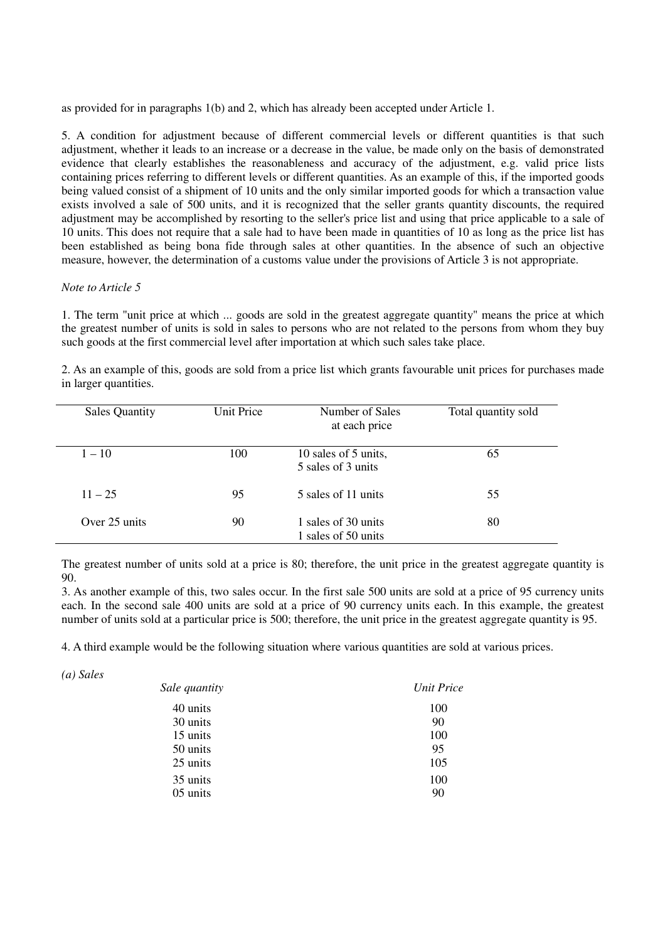as provided for in paragraphs 1(b) and 2, which has already been accepted under Article 1.

5. A condition for adjustment because of different commercial levels or different quantities is that such adjustment, whether it leads to an increase or a decrease in the value, be made only on the basis of demonstrated evidence that clearly establishes the reasonableness and accuracy of the adjustment, e.g. valid price lists containing prices referring to different levels or different quantities. As an example of this, if the imported goods being valued consist of a shipment of 10 units and the only similar imported goods for which a transaction value exists involved a sale of 500 units, and it is recognized that the seller grants quantity discounts, the required adjustment may be accomplished by resorting to the seller's price list and using that price applicable to a sale of 10 units. This does not require that a sale had to have been made in quantities of 10 as long as the price list has been established as being bona fide through sales at other quantities. In the absence of such an objective measure, however, the determination of a customs value under the provisions of Article 3 is not appropriate.

### *Note to Article 5*

1. The term "unit price at which ... goods are sold in the greatest aggregate quantity" means the price at which the greatest number of units is sold in sales to persons who are not related to the persons from whom they buy such goods at the first commercial level after importation at which such sales take place.

2. As an example of this, goods are sold from a price list which grants favourable unit prices for purchases made in larger quantities.

| <b>Sales Quantity</b> | Unit Price | Number of Sales<br>at each price           | Total quantity sold |
|-----------------------|------------|--------------------------------------------|---------------------|
| $1 - 10$              | 100        | 10 sales of 5 units,<br>5 sales of 3 units | 65                  |
| $11 - 25$             | 95         | 5 sales of 11 units                        | 55                  |
| Over 25 units         | 90         | 1 sales of 30 units<br>1 sales of 50 units | 80                  |

The greatest number of units sold at a price is 80; therefore, the unit price in the greatest aggregate quantity is 90.

3. As another example of this, two sales occur. In the first sale 500 units are sold at a price of 95 currency units each. In the second sale 400 units are sold at a price of 90 currency units each. In this example, the greatest number of units sold at a particular price is 500; therefore, the unit price in the greatest aggregate quantity is 95.

4. A third example would be the following situation where various quantities are sold at various prices.

*(a) Sales* 

| Sale quantity      | <b>Unit Price</b> |
|--------------------|-------------------|
| 40 units           | 100               |
| 30 units           | 90                |
| 15 units           | 100               |
| 50 units           | 95                |
| 25 units           | 105               |
| 35 units           | 100               |
| $05 \text{ units}$ | 90                |
|                    |                   |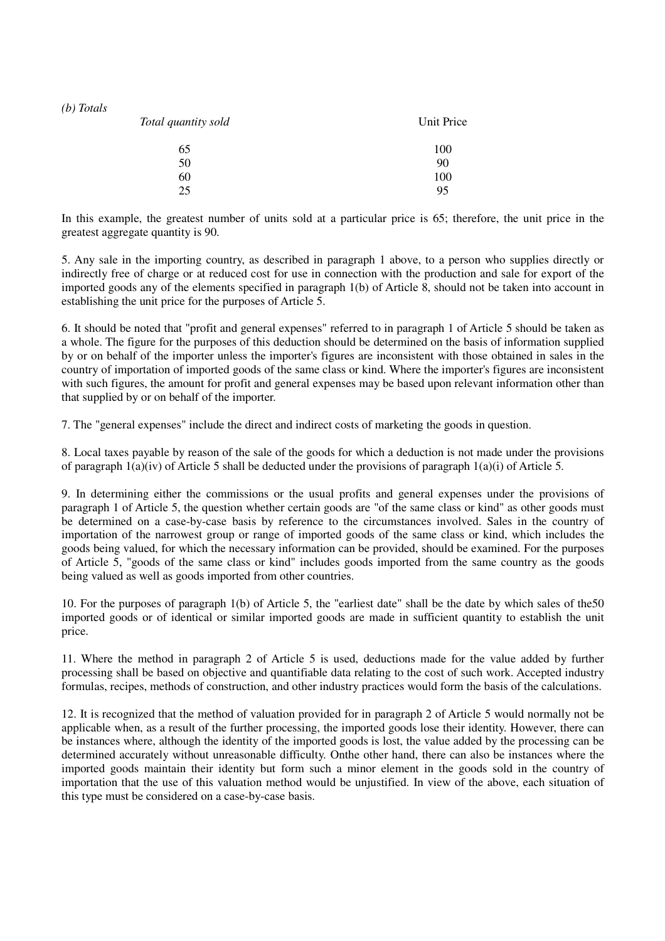*(b) Totals* 

| Total quantity sold | Unit Price |  |
|---------------------|------------|--|
| 65                  | 100        |  |
| 50                  | 90         |  |
| 60                  | 100        |  |
| 25                  | 95         |  |

In this example, the greatest number of units sold at a particular price is 65; therefore, the unit price in the greatest aggregate quantity is 90.

5. Any sale in the importing country, as described in paragraph 1 above, to a person who supplies directly or indirectly free of charge or at reduced cost for use in connection with the production and sale for export of the imported goods any of the elements specified in paragraph 1(b) of Article 8, should not be taken into account in establishing the unit price for the purposes of Article 5.

6. It should be noted that "profit and general expenses" referred to in paragraph 1 of Article 5 should be taken as a whole. The figure for the purposes of this deduction should be determined on the basis of information supplied by or on behalf of the importer unless the importer's figures are inconsistent with those obtained in sales in the country of importation of imported goods of the same class or kind. Where the importer's figures are inconsistent with such figures, the amount for profit and general expenses may be based upon relevant information other than that supplied by or on behalf of the importer.

7. The "general expenses" include the direct and indirect costs of marketing the goods in question.

8. Local taxes payable by reason of the sale of the goods for which a deduction is not made under the provisions of paragraph 1(a)(iv) of Article 5 shall be deducted under the provisions of paragraph 1(a)(i) of Article 5.

9. In determining either the commissions or the usual profits and general expenses under the provisions of paragraph 1 of Article 5, the question whether certain goods are "of the same class or kind" as other goods must be determined on a case-by-case basis by reference to the circumstances involved. Sales in the country of importation of the narrowest group or range of imported goods of the same class or kind, which includes the goods being valued, for which the necessary information can be provided, should be examined. For the purposes of Article 5, "goods of the same class or kind" includes goods imported from the same country as the goods being valued as well as goods imported from other countries.

10. For the purposes of paragraph 1(b) of Article 5, the "earliest date" shall be the date by which sales of the50 imported goods or of identical or similar imported goods are made in sufficient quantity to establish the unit price.

11. Where the method in paragraph 2 of Article 5 is used, deductions made for the value added by further processing shall be based on objective and quantifiable data relating to the cost of such work. Accepted industry formulas, recipes, methods of construction, and other industry practices would form the basis of the calculations.

12. It is recognized that the method of valuation provided for in paragraph 2 of Article 5 would normally not be applicable when, as a result of the further processing, the imported goods lose their identity. However, there can be instances where, although the identity of the imported goods is lost, the value added by the processing can be determined accurately without unreasonable difficulty. Onthe other hand, there can also be instances where the imported goods maintain their identity but form such a minor element in the goods sold in the country of importation that the use of this valuation method would be unjustified. In view of the above, each situation of this type must be considered on a case-by-case basis.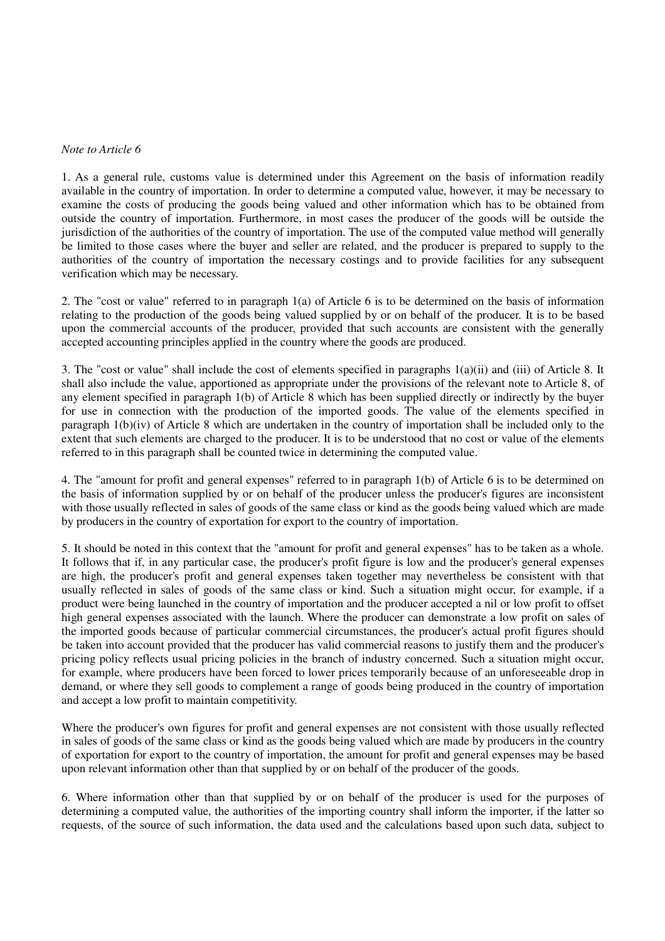#### *Note to Article 6*

1. As a general rule, customs value is determined under this Agreement on the basis of information readily available in the country of importation. In order to determine a computed value, however, it may be necessary to examine the costs of producing the goods being valued and other information which has to be obtained from outside the country of importation. Furthermore, in most cases the producer of the goods will be outside the jurisdiction of the authorities of the country of importation. The use of the computed value method will generally be limited to those cases where the buyer and seller are related, and the producer is prepared to supply to the authorities of the country of importation the necessary costings and to provide facilities for any subsequent verification which may be necessary.

2. The "cost or value" referred to in paragraph 1(a) of Article 6 is to be determined on the basis of information relating to the production of the goods being valued supplied by or on behalf of the producer. It is to be based upon the commercial accounts of the producer, provided that such accounts are consistent with the generally accepted accounting principles applied in the country where the goods are produced.

3. The "cost or value" shall include the cost of elements specified in paragraphs 1(a)(ii) and (iii) of Article 8. It shall also include the value, apportioned as appropriate under the provisions of the relevant note to Article 8, of any element specified in paragraph 1(b) of Article 8 which has been supplied directly or indirectly by the buyer for use in connection with the production of the imported goods. The value of the elements specified in paragraph 1(b)(iv) of Article 8 which are undertaken in the country of importation shall be included only to the extent that such elements are charged to the producer. It is to be understood that no cost or value of the elements referred to in this paragraph shall be counted twice in determining the computed value.

4. The "amount for profit and general expenses" referred to in paragraph 1(b) of Article 6 is to be determined on the basis of information supplied by or on behalf of the producer unless the producer's figures are inconsistent with those usually reflected in sales of goods of the same class or kind as the goods being valued which are made by producers in the country of exportation for export to the country of importation.

5. It should be noted in this context that the "amount for profit and general expenses" has to be taken as a whole. It follows that if, in any particular case, the producer's profit figure is low and the producer's general expenses are high, the producer's profit and general expenses taken together may nevertheless be consistent with that usually reflected in sales of goods of the same class or kind. Such a situation might occur, for example, if a product were being launched in the country of importation and the producer accepted a nil or low profit to offset high general expenses associated with the launch. Where the producer can demonstrate a low profit on sales of the imported goods because of particular commercial circumstances, the producer's actual profit figures should be taken into account provided that the producer has valid commercial reasons to justify them and the producer's pricing policy reflects usual pricing policies in the branch of industry concerned. Such a situation might occur, for example, where producers have been forced to lower prices temporarily because of an unforeseeable drop in demand, or where they sell goods to complement a range of goods being produced in the country of importation and accept a low profit to maintain competitivity.

Where the producer's own figures for profit and general expenses are not consistent with those usually reflected in sales of goods of the same class or kind as the goods being valued which are made by producers in the country of exportation for export to the country of importation, the amount for profit and general expenses may be based upon relevant information other than that supplied by or on behalf of the producer of the goods.

6. Where information other than that supplied by or on behalf of the producer is used for the purposes of determining a computed value, the authorities of the importing country shall inform the importer, if the latter so requests, of the source of such information, the data used and the calculations based upon such data, subject to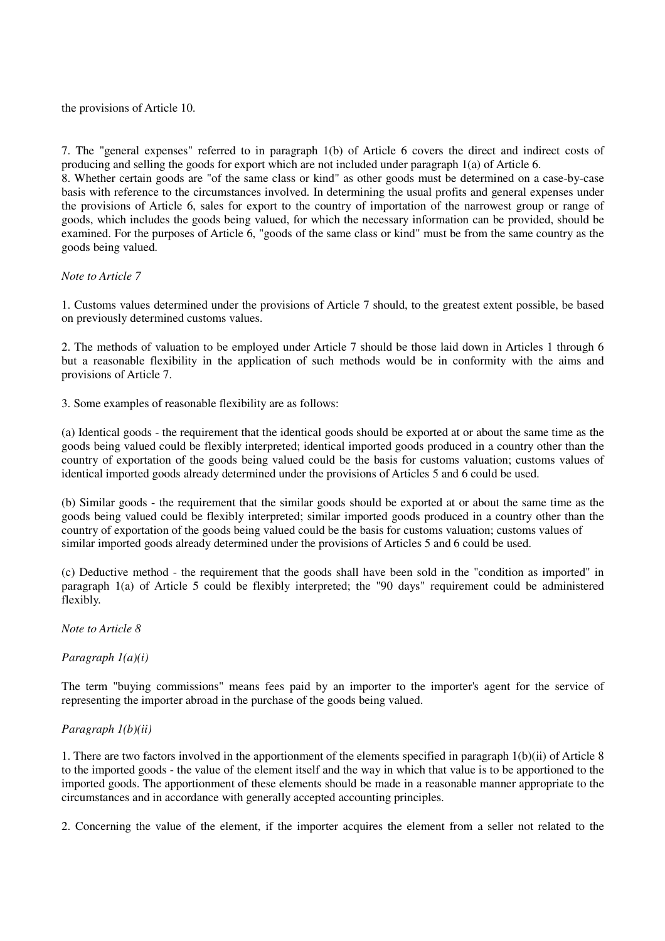the provisions of Article 10.

7. The "general expenses" referred to in paragraph 1(b) of Article 6 covers the direct and indirect costs of producing and selling the goods for export which are not included under paragraph 1(a) of Article 6.

8. Whether certain goods are "of the same class or kind" as other goods must be determined on a case-by-case basis with reference to the circumstances involved. In determining the usual profits and general expenses under the provisions of Article 6, sales for export to the country of importation of the narrowest group or range of goods, which includes the goods being valued, for which the necessary information can be provided, should be examined. For the purposes of Article 6, "goods of the same class or kind" must be from the same country as the goods being valued.

### *Note to Article 7*

1. Customs values determined under the provisions of Article 7 should, to the greatest extent possible, be based on previously determined customs values.

2. The methods of valuation to be employed under Article 7 should be those laid down in Articles 1 through 6 but a reasonable flexibility in the application of such methods would be in conformity with the aims and provisions of Article 7.

3. Some examples of reasonable flexibility are as follows:

(a) Identical goods - the requirement that the identical goods should be exported at or about the same time as the goods being valued could be flexibly interpreted; identical imported goods produced in a country other than the country of exportation of the goods being valued could be the basis for customs valuation; customs values of identical imported goods already determined under the provisions of Articles 5 and 6 could be used.

(b) Similar goods - the requirement that the similar goods should be exported at or about the same time as the goods being valued could be flexibly interpreted; similar imported goods produced in a country other than the country of exportation of the goods being valued could be the basis for customs valuation; customs values of similar imported goods already determined under the provisions of Articles 5 and 6 could be used.

(c) Deductive method - the requirement that the goods shall have been sold in the "condition as imported" in paragraph 1(a) of Article 5 could be flexibly interpreted; the "90 days" requirement could be administered flexibly.

*Note to Article 8* 

# *Paragraph 1(a)(i)*

The term "buying commissions" means fees paid by an importer to the importer's agent for the service of representing the importer abroad in the purchase of the goods being valued.

# *Paragraph 1(b)(ii)*

1. There are two factors involved in the apportionment of the elements specified in paragraph 1(b)(ii) of Article 8 to the imported goods - the value of the element itself and the way in which that value is to be apportioned to the imported goods. The apportionment of these elements should be made in a reasonable manner appropriate to the circumstances and in accordance with generally accepted accounting principles.

2. Concerning the value of the element, if the importer acquires the element from a seller not related to the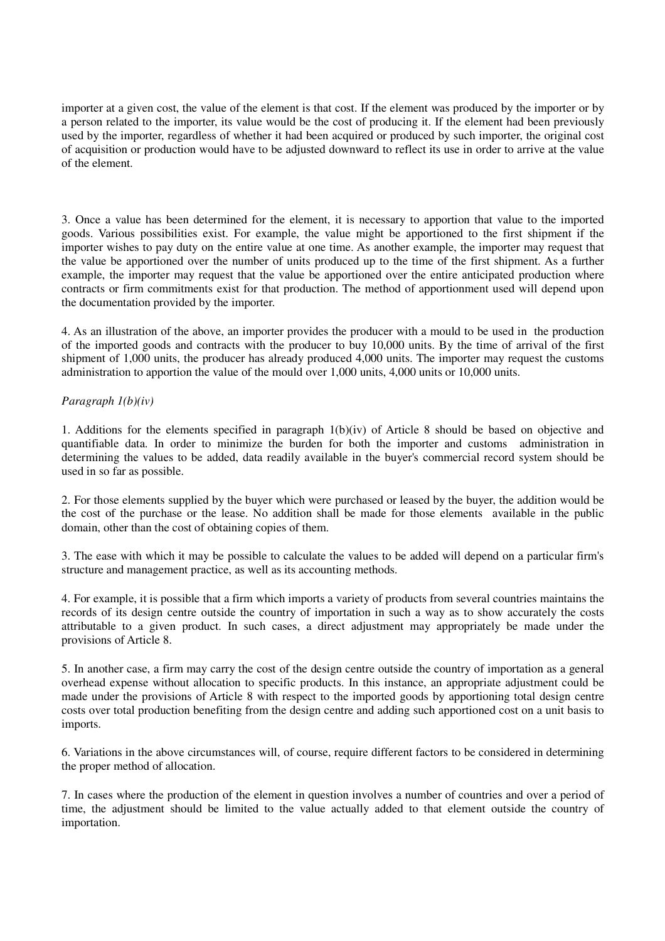importer at a given cost, the value of the element is that cost. If the element was produced by the importer or by a person related to the importer, its value would be the cost of producing it. If the element had been previously used by the importer, regardless of whether it had been acquired or produced by such importer, the original cost of acquisition or production would have to be adjusted downward to reflect its use in order to arrive at the value of the element.

3. Once a value has been determined for the element, it is necessary to apportion that value to the imported goods. Various possibilities exist. For example, the value might be apportioned to the first shipment if the importer wishes to pay duty on the entire value at one time. As another example, the importer may request that the value be apportioned over the number of units produced up to the time of the first shipment. As a further example, the importer may request that the value be apportioned over the entire anticipated production where contracts or firm commitments exist for that production. The method of apportionment used will depend upon the documentation provided by the importer.

4. As an illustration of the above, an importer provides the producer with a mould to be used in the production of the imported goods and contracts with the producer to buy 10,000 units. By the time of arrival of the first shipment of 1,000 units, the producer has already produced 4,000 units. The importer may request the customs administration to apportion the value of the mould over 1,000 units, 4,000 units or 10,000 units.

# *Paragraph 1(b)(iv)*

1. Additions for the elements specified in paragraph 1(b)(iv) of Article 8 should be based on objective and quantifiable data. In order to minimize the burden for both the importer and customs administration in determining the values to be added, data readily available in the buyer's commercial record system should be used in so far as possible.

2. For those elements supplied by the buyer which were purchased or leased by the buyer, the addition would be the cost of the purchase or the lease. No addition shall be made for those elements available in the public domain, other than the cost of obtaining copies of them.

3. The ease with which it may be possible to calculate the values to be added will depend on a particular firm's structure and management practice, as well as its accounting methods.

4. For example, it is possible that a firm which imports a variety of products from several countries maintains the records of its design centre outside the country of importation in such a way as to show accurately the costs attributable to a given product. In such cases, a direct adjustment may appropriately be made under the provisions of Article 8.

5. In another case, a firm may carry the cost of the design centre outside the country of importation as a general overhead expense without allocation to specific products. In this instance, an appropriate adjustment could be made under the provisions of Article 8 with respect to the imported goods by apportioning total design centre costs over total production benefiting from the design centre and adding such apportioned cost on a unit basis to imports.

6. Variations in the above circumstances will, of course, require different factors to be considered in determining the proper method of allocation.

7. In cases where the production of the element in question involves a number of countries and over a period of time, the adjustment should be limited to the value actually added to that element outside the country of importation.